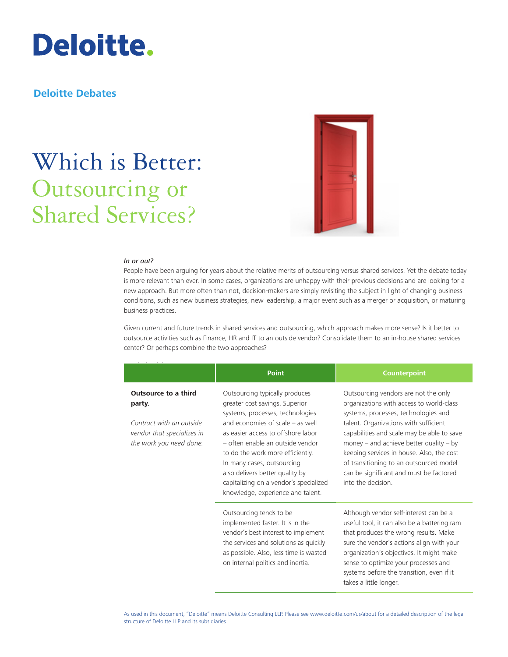

### **Deloitte Debates**

# Which is Better: Outsourcing or Shared Services?



### *In or out?*

People have been arguing for years about the relative merits of outsourcing versus shared services. Yet the debate today is more relevant than ever. In some cases, organizations are unhappy with their previous decisions and are looking for a new approach. But more often than not, decision-makers are simply revisiting the subject in light of changing business conditions, such as new business strategies, new leadership, a major event such as a merger or acquisition, or maturing business practices.

Given current and future trends in shared services and outsourcing, which approach makes more sense? Is it better to outsource activities such as Finance, HR and IT to an outside vendor? Consolidate them to an in-house shared services center? Or perhaps combine the two approaches?

|                                                                                                                            | <b>Point</b>                                                                                                                                                                                                                                                                                                                                                                                             | <b>Counterpoint</b>                                                                                                                                                                                                                                                                                                                                                                                                     |
|----------------------------------------------------------------------------------------------------------------------------|----------------------------------------------------------------------------------------------------------------------------------------------------------------------------------------------------------------------------------------------------------------------------------------------------------------------------------------------------------------------------------------------------------|-------------------------------------------------------------------------------------------------------------------------------------------------------------------------------------------------------------------------------------------------------------------------------------------------------------------------------------------------------------------------------------------------------------------------|
| <b>Outsource to a third</b><br>party.<br>Contract with an outside<br>vendor that specializes in<br>the work you need done. | Outsourcing typically produces<br>greater cost savings. Superior<br>systems, processes, technologies<br>and economies of scale $-$ as well<br>as easier access to offshore labor<br>- often enable an outside vendor<br>to do the work more efficiently.<br>In many cases, outsourcing<br>also delivers better quality by<br>capitalizing on a vendor's specialized<br>knowledge, experience and talent. | Outsourcing vendors are not the only<br>organizations with access to world-class<br>systems, processes, technologies and<br>talent. Organizations with sufficient<br>capabilities and scale may be able to save<br>money $-$ and achieve better quality $-$ by<br>keeping services in house. Also, the cost<br>of transitioning to an outsourced model<br>can be significant and must be factored<br>into the decision. |
|                                                                                                                            | Outsourcing tends to be<br>implemented faster. It is in the<br>vendor's best interest to implement<br>the services and solutions as quickly<br>as possible. Also, less time is wasted<br>on internal politics and inertia.                                                                                                                                                                               | Although vendor self-interest can be a<br>useful tool, it can also be a battering ram<br>that produces the wrong results. Make<br>sure the vendor's actions align with your<br>organization's objectives. It might make<br>sense to optimize your processes and<br>systems before the transition, even if it<br>takes a little longer.                                                                                  |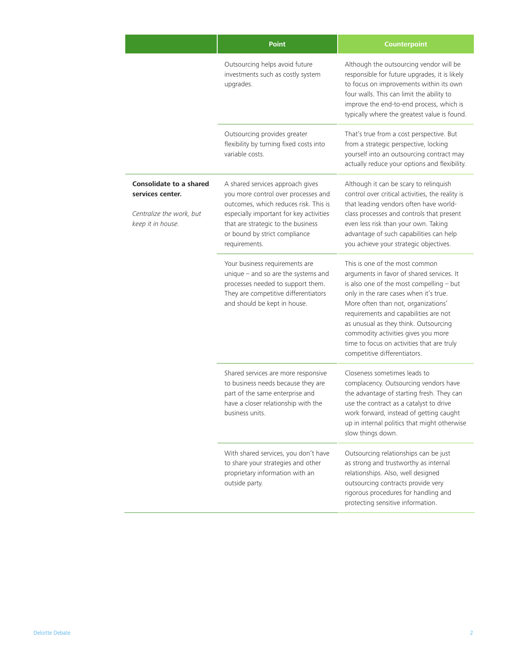|                                                                                                     | <b>Point</b>                                                                                                                                                                                                                                        | <b>Counterpoint</b>                                                                                                                                                                                                                                                                                                                                                                                             |
|-----------------------------------------------------------------------------------------------------|-----------------------------------------------------------------------------------------------------------------------------------------------------------------------------------------------------------------------------------------------------|-----------------------------------------------------------------------------------------------------------------------------------------------------------------------------------------------------------------------------------------------------------------------------------------------------------------------------------------------------------------------------------------------------------------|
|                                                                                                     | Outsourcing helps avoid future<br>investments such as costly system<br>upgrades.                                                                                                                                                                    | Although the outsourcing vendor will be<br>responsible for future upgrades, it is likely<br>to focus on improvements within its own<br>four walls. This can limit the ability to<br>improve the end-to-end process, which is<br>typically where the greatest value is found.                                                                                                                                    |
|                                                                                                     | Outsourcing provides greater<br>flexibility by turning fixed costs into<br>variable costs.                                                                                                                                                          | That's true from a cost perspective. But<br>from a strategic perspective, locking<br>yourself into an outsourcing contract may<br>actually reduce your options and flexibility.                                                                                                                                                                                                                                 |
| <b>Consolidate to a shared</b><br>services center.<br>Centralize the work, but<br>keep it in house. | A shared services approach gives<br>you more control over processes and<br>outcomes, which reduces risk. This is<br>especially important for key activities<br>that are strategic to the business<br>or bound by strict compliance<br>requirements. | Although it can be scary to relinquish<br>control over critical activities, the reality is<br>that leading vendors often have world-<br>class processes and controls that present<br>even less risk than your own. Taking<br>advantage of such capabilities can help<br>you achieve your strategic objectives.                                                                                                  |
|                                                                                                     | Your business requirements are<br>unique $-$ and so are the systems and<br>processes needed to support them.<br>They are competitive differentiators<br>and should be kept in house.                                                                | This is one of the most common<br>arguments in favor of shared services. It<br>is also one of the most compelling - but<br>only in the rare cases when it's true.<br>More often than not, organizations'<br>requirements and capabilities are not<br>as unusual as they think. Outsourcing<br>commodity activities gives you more<br>time to focus on activities that are truly<br>competitive differentiators. |
|                                                                                                     | Shared services are more responsive<br>to business needs because they are<br>part of the same enterprise and<br>have a closer relationship with the<br>business units.                                                                              | Closeness sometimes leads to<br>complacency. Outsourcing vendors have<br>the advantage of starting fresh. They can<br>use the contract as a catalyst to drive<br>work forward, instead of getting caught<br>up in internal politics that might otherwise<br>slow things down.                                                                                                                                   |
|                                                                                                     | With shared services, you don't have<br>to share your strategies and other<br>proprietary information with an<br>outside party.                                                                                                                     | Outsourcing relationships can be just<br>as strong and trustworthy as internal<br>relationships. Also, well designed<br>outsourcing contracts provide very<br>rigorous procedures for handling and<br>protecting sensitive information.                                                                                                                                                                         |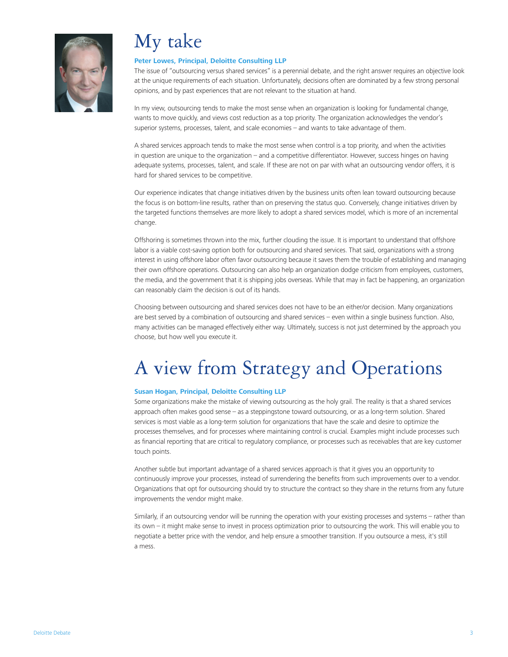

## My take

### **[Peter Lowes, Principal, Deloitte Consulting LLP](http://www.deloitte.com/view/en_US/us/Services/additional-services/shared-services/article/28e0aeaf7a6e3210VgnVCM100000ba42f00aRCRD.htm)**

The issue of "outsourcing versus shared services" is a perennial debate, and the right answer requires an objective look at the unique requirements of each situation. Unfortunately, decisions often are dominated by a few strong personal opinions, and by past experiences that are not relevant to the situation at hand.

In my view, outsourcing tends to make the most sense when an organization is looking for fundamental change, wants to move quickly, and views cost reduction as a top priority. The organization acknowledges the vendor's superior systems, processes, talent, and scale economies – and wants to take advantage of them.

A shared services approach tends to make the most sense when control is a top priority, and when the activities in question are unique to the organization – and a competitive differentiator. However, success hinges on having adequate systems, processes, talent, and scale. If these are not on par with what an outsourcing vendor offers, it is hard for shared services to be competitive.

Our experience indicates that change initiatives driven by the business units often lean toward outsourcing because the focus is on bottom-line results, rather than on preserving the status quo. Conversely, change initiatives driven by the targeted functions themselves are more likely to adopt a shared services model, which is more of an incremental change.

Offshoring is sometimes thrown into the mix, further clouding the issue. It is important to understand that offshore labor is a viable cost-saving option both for outsourcing and shared services. That said, organizations with a strong interest in using offshore labor often favor outsourcing because it saves them the trouble of establishing and managing their own offshore operations. Outsourcing can also help an organization dodge criticism from employees, customers, the media, and the government that it is shipping jobs overseas. While that may in fact be happening, an organization can reasonably claim the decision is out of its hands.

Choosing between outsourcing and shared services does not have to be an either/or decision. Many organizations are best served by a combination of outsourcing and shared services – even within a single business function. Also, many activities can be managed effectively either way. Ultimately, success is not just determined by the approach you choose, but how well you execute it.

## A view from Strategy and Operations

### **[Susan Hogan, Principal, Deloitte Consulting LLP](http://www.deloitte.com/view/en_US/us/article/dd71e55cd21fb110VgnVCM100000ba42f00aRCRD.htm)**

Some organizations make the mistake of viewing outsourcing as the holy grail. The reality is that a shared services approach often makes good sense – as a steppingstone toward outsourcing, or as a long-term solution. Shared services is most viable as a long-term solution for organizations that have the scale and desire to optimize the processes themselves, and for processes where maintaining control is crucial. Examples might include processes such as financial reporting that are critical to regulatory compliance, or processes such as receivables that are key customer touch points.

Another subtle but important advantage of a shared services approach is that it gives you an opportunity to continuously improve your processes, instead of surrendering the benefits from such improvements over to a vendor. Organizations that opt for outsourcing should try to structure the contract so they share in the returns from any future improvements the vendor might make.

Similarly, if an outsourcing vendor will be running the operation with your existing processes and systems – rather than its own – it might make sense to invest in process optimization prior to outsourcing the work. This will enable you to negotiate a better price with the vendor, and help ensure a smoother transition. If you outsource a mess, it's still a mess.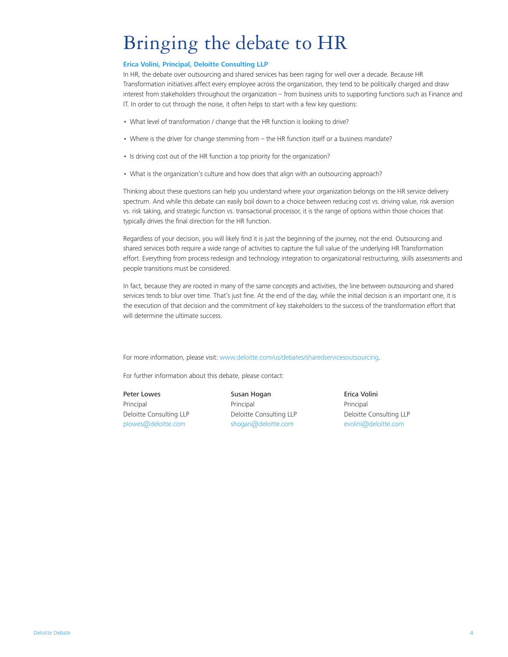### Bringing the debate to HR

### **[Erica Volini, Principal, Deloitte Consulting LLP](http://www.deloitte.com/view/en_US/us/Services/consulting/consulting-services/human-capital/article/134af6054a504210VgnVCM200000bb42f00aRCRD.htm)**

In HR, the debate over outsourcing and shared services has been raging for well over a decade. Because HR Transformation initiatives affect every employee across the organization, they tend to be politically charged and draw interest from stakeholders throughout the organization – from business units to supporting functions such as Finance and IT. In order to cut through the noise, it often helps to start with a few key questions:

- What level of transformation / change that the HR function is looking to drive?
- Where is the driver for change stemming from the HR function itself or a business mandate?
- Is driving cost out of the HR function a top priority for the organization?
- What is the organization's culture and how does that align with an outsourcing approach?

Thinking about these questions can help you understand where your organization belongs on the HR service delivery spectrum. And while this debate can easily boil down to a choice between reducing cost vs. driving value, risk aversion vs. risk taking, and strategic function vs. transactional processor, it is the range of options within those choices that typically drives the final direction for the HR function.

Regardless of your decision, you will likely find it is just the beginning of the journey, not the end. Outsourcing and shared services both require a wide range of activities to capture the full value of the underlying HR Transformation effort. Everything from process redesign and technology integration to organizational restructuring, skills assessments and people transitions must be considered.

In fact, because they are rooted in many of the same concepts and activities, the line between outsourcing and shared services tends to blur over time. That's just fine. At the end of the day, while the initial decision is an important one, it is the execution of that decision and the commitment of key stakeholders to the success of the transformation effort that will determine the ultimate success.

For more information, please visit: <www.deloitte.com/us/debates/sharedservicesoutsourcing>.

For further information about this debate, please contact:

[Peter Lowes](http://www.deloitte.com/view/en_US/us/Services/additional-services/shared-services/article/28e0aeaf7a6e3210VgnVCM100000ba42f00aRCRD.htm) Principal Deloitte Consulting LLP plowes@deloitte.com

[Susan Hogan](http://www.deloitte.com/view/en_US/us/article/dd71e55cd21fb110VgnVCM100000ba42f00aRCRD.htm) Principal Deloitte Consulting LLP shogan@deloitte.com

[Erica Volini](http://www.deloitte.com/view/en_US/us/Services/consulting/consulting-services/human-capital/article/134af6054a504210VgnVCM200000bb42f00aRCRD.htm) Principal Deloitte Consulting LLP evolini@deloitte.com